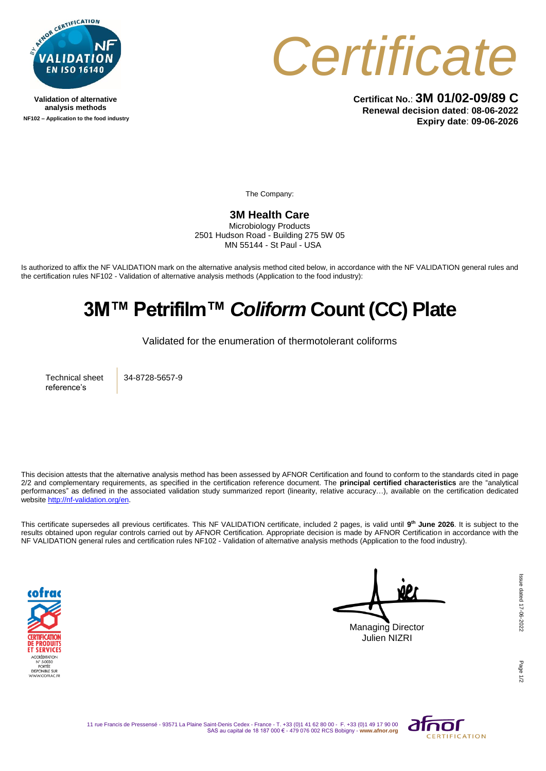

**Validation of alternative analysis methods NF102 – Application to the food industry**



**Certificat No.**: **3M 01/02-09/89 C Renewal decision dated**: **08-06-2022 Expiry date**: **09-06-2026**

The Company:

## **3M Health Care**

Microbiology Products 2501 Hudson Road - Building 275 5W 05 MN 55144 - St Paul - USA

Is authorized to affix the NF VALIDATION mark on the alternative analysis method cited below, in accordance with the NF VALIDATION general rules and the certification rules NF102 - Validation of alternative analysis methods (Application to the food industry):

## **3M™ Petrifilm™** *Coliform* **Count (CC) Plate**

Validated for the enumeration of thermotolerant coliforms

Technical sheet reference's

34-8728-5657-9

This decision attests that the alternative analysis method has been assessed by AFNOR Certification and found to conform to the standards cited in page 2/2 and complementary requirements, as specified in the certification reference document. The **principal certified characteristics** are the "analytical performances" as defined in the associated validation study summarized report (linearity, relative accuracy…), available on the certification dedicated websit[e http://nf-validation.org/en.](http://nf-validation.org/en)

This certificate supersedes all previous certificates. This NF VALIDATION certificate, included 2 pages, is valid until **9 th June 2026**. It is subject to the results obtained upon regular controls carried out by AFNOR Certification. Appropriate decision is made by AFNOR Certification in accordance with the NF VALIDATION general rules and certification rules NF102 - Validation of alternative analysis methods (Application to the food industry).



Managing Director Julien NIZRI

Page